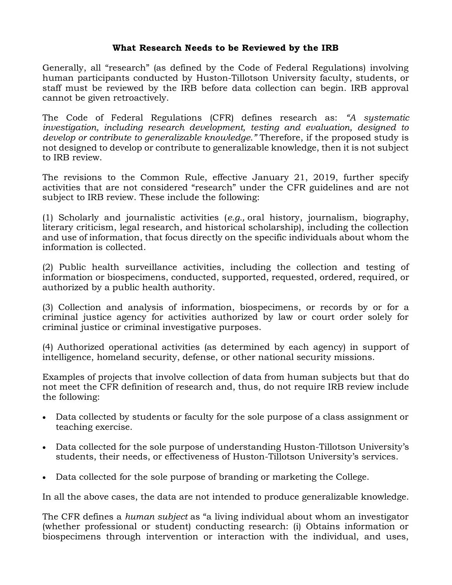## **What Research Needs to be Reviewed by the IRB**

Generally, all "research" (as defined by the Code of Federal Regulations) involving human participants conducted by Huston-Tillotson University faculty, students, or staff must be reviewed by the IRB before data collection can begin. IRB approval cannot be given retroactively.

The Code of Federal Regulations (CFR) defines research as: *"A systematic investigation, including research development, testing and evaluation, designed to develop or contribute to generalizable knowledge."* Therefore, if the proposed study is not designed to develop or contribute to generalizable knowledge, then it is not subject to IRB review.

The revisions to the Common Rule, effective January 21, 2019, further specify activities that are not considered "research" under the CFR guidelines and are not subject to IRB review. These include the following:

(1) Scholarly and journalistic activities (*e.g.,* oral history, journalism, biography, literary criticism, legal research, and historical scholarship), including the collection and use of information, that focus directly on the specific individuals about whom the information is collected.

(2) Public health surveillance activities, including the collection and testing of information or biospecimens, conducted, supported, requested, ordered, required, or authorized by a public health authority.

(3) Collection and analysis of information, biospecimens, or records by or for a criminal justice agency for activities authorized by law or court order solely for criminal justice or criminal investigative purposes.

(4) Authorized operational activities (as determined by each agency) in support of intelligence, homeland security, defense, or other national security missions.

Examples of projects that involve collection of data from human subjects but that do not meet the CFR definition of research and, thus, do not require IRB review include the following:

- Data collected by students or faculty for the sole purpose of a class assignment or teaching exercise.
- Data collected for the sole purpose of understanding Huston-Tillotson University's students, their needs, or effectiveness of Huston-Tillotson University's services.
- Data collected for the sole purpose of branding or marketing the College.

In all the above cases, the data are not intended to produce generalizable knowledge.

The CFR defines a *human subject* as "a living individual about whom an investigator (whether professional or student) conducting research: (i) Obtains information or biospecimens through intervention or interaction with the individual, and uses,